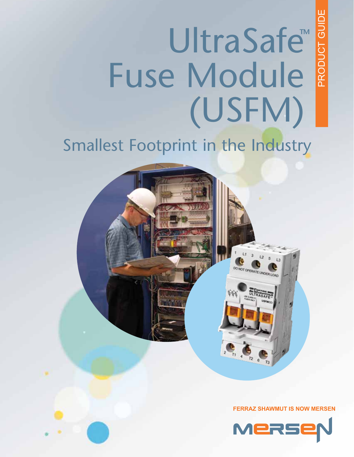PRODUCT GUIDE PRODUCT GUIDE

# UltraSafe<sup>®</sup> Fuse Module (USFM)

# Smallest Footprint in the Industry



 $\mathbf{L}$ 

 $\bigotimes_{\pi}$ 

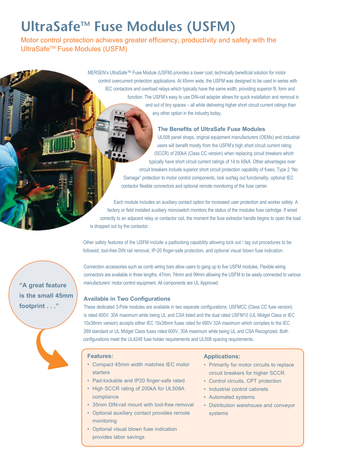# UltraSafe<sup>™</sup> Fuse Modules (USFM)

Motor control protection achieves greater efficiency, productivity and safety with the UltraSafe<sup>™</sup> Fuse Modules (USFM)

> MERSEN's UltraSafe™ Fuse Module (USFM) provides a lower cost, technically beneficial solution for motor control overcurrent protection applications. At 45mm wide, the USFM was designed to be used in series with IEC contactors and overload relays which typically have the same width, providing superior fit, form and function. The USFM's easy to use DIN-rail adapter allows for quick installation and removal in and out of tiny spaces – all while delivering higher short circuit current ratings than any other option in the industry today.

# **The Benefits of UltraSafe Fuse Modules**

UL508 panel shops, original equipment manufacturers (OEMs) and industrial users will benefit mostly from the USFM's high short circuit current rating (SCCR) of 200kA (Class CC version) when replacing circuit breakers which typically have short circuit current ratings of 14 to 65kA. Other advantages over circuit breakers include superior short circuit protection capability of fuses, Type 2 "No Damage" protection to motor control components, lock out/tag out functionality, optional IEC contactor flexible connectors and optional remote monitoring of the fuse carrier.

Each module includes an auxiliary contact option for increased user protection and worker safety. A factory or field installed auxiliary microswitch monitors the status of the modules fuse cartridge. If wired correctly to an adjacent relay or contactor coil, the moment the fuse extractor handle begins to open the load is dropped out by the contactor.

Other safety features of the USFM include a padlocking capability allowing lock out / tag out procedures to be followed, tool-free DIN rail removal, IP-20 finger-safe protection, and optional visual blown fuse indication.

Connection accessories such as comb wiring bars allow users to gang up to five USFM modules. Flexible wiring connectors are available in three lengths, 47mm, 74mm and 99mm allowing the USFM to be easily connected to various manufacturers' motor control equipment. All components are UL Approved.

## **Available in Two Configurations**

These dedicated 3-Pole modules are available in two separate configurations; USFMCC (Class CC fuse version) is rated 600V, 30A maximum while being UL and CSA listed and the dual rated USFM10 (UL Midget Class or IEC 10x38mm version) accepts either IEC 10x38mm fuses rated for 690V 32A maximum which complies to the IEC 269 standard or UL Midget Class fuses rated 600V, 30A maximum while being UL and CSA Recognized. Both configurations meet the UL4248 fuse holder requirements and UL508 spacing requirements.

#### **Features:**

- • Compact 45mm width matches IEC motor **starters**
- Pad-lockable and IP20 finger-safe rated
- High SCCR rating of 200kA for UL508A compliance
- • 35mm DIN-rail mount with tool-free removal
- • Optional auxiliary contact provides remote monitoring
- • Optional visual blown fuse indication provides labor savings

## **Applications:**

- Primarily for motor circuits to replace circuit breakers for higher SCCR
- Control circuits, CPT protection
- Industrial control cabinets
- • Automated systems
- Distribution warehouse and conveyor systems

**"A great feature is the small 45mm footprint . . ."**

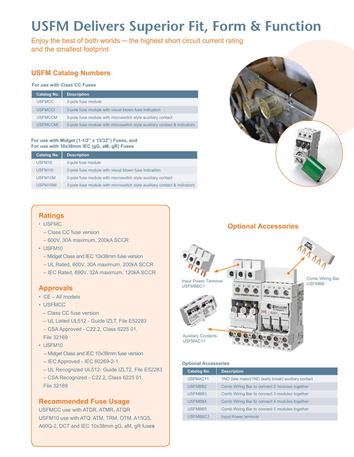# **USFM Delivers Superior Fit, Form & Function**

Enjoy the best of both worlds  $-$  the highest short circuit current rating and the smallest footprint

# **USFM Catalog Numbers**

#### **For use with Class CC Fuses**

| Catalog No.     | <b>Description</b>                                                       |
|-----------------|--------------------------------------------------------------------------|
| <b>USFMCC</b>   | 3-pole fuse module                                                       |
| <b>USFMCCI</b>  | 3-pole fuse module with visual blown fuse indication                     |
| <b>USFMCCM</b>  | 3-pole fuse module with microswitch style auxiliary contact              |
| <b>USEMCCML</b> | 3-pole fuse module with microswitch style auxiliary contact & indicators |

#### **For use with Midget (1-1/2" x 13/32") Fuses, and For use with 10x38mm IEC (gG, aM, gR) Fuses**

| Catalog No.        | <b>Description</b>                                                       |
|--------------------|--------------------------------------------------------------------------|
| USFM <sub>10</sub> | 3-pole fuse module                                                       |
| USFM <sub>10</sub> | 3-pole fuse module with visual blown fuse indication                     |
| USFM10M            | 3-pole fuse module with microswitch style auxiliary contact              |
| USFM10MI           | 3-pole fuse module with microswitch style auxiliary contact & indicators |



- • USFMC
- Class CC fuse version
- 600V, 30A maximum, 200kA SCCR
- USFM10
- Midget Class and IEC 10x38mm fuse version
- UL Rated, 600V, 30A maximum, 200kA SCCR
- IEC Rated, 690V, 32A maximum, 120kA SCCR

# **Approvals**

- CE All models
- USFMCC
- Class CC fuse version
- UL Listed UL512 Guide IZLT, File E52283
- CSA Approved C22.2, Class 6225 01,

File 32169

- USFM10
	- Midget Class and IEC 10x38mm fuse version
	- IEC Approved IEC 60269-2-1
- UL Recognized UL512- Guide IZLT2, File E52283
- CSA Recognized C22.2, Class 6225 01, File 32169

# **Recommended Fuse Usage**

USFMCC use with ATDR, ATMR, ATQR USFM10 use with ATQ, ATM, TRM, OTM, A15QS, A60Q-2, DCT and IEC 10x38mm gG, aM, gR fuse**s**



# **Optional Accessories**



#### **Optional Accessories**

| <b>Catalog No.</b> | <b>Description</b>                                  |
|--------------------|-----------------------------------------------------|
| USFMAC11           | 1NO (late make)/1NC (early break) auxiliary contact |
| USFMBB2            | Comb Wiring Bar to connect 2 modules together       |
| USFMBB3            | Comb Wiring Bar to connect 3 modules together       |
| <b>USFMBB4</b>     | Comb Wiring Bar to connect 4 modules together       |
| <b>USFMBB5</b>     | Comb Wiring Bar to connect 5 modules together       |
| USFMBBC1           | Input Power terminal                                |